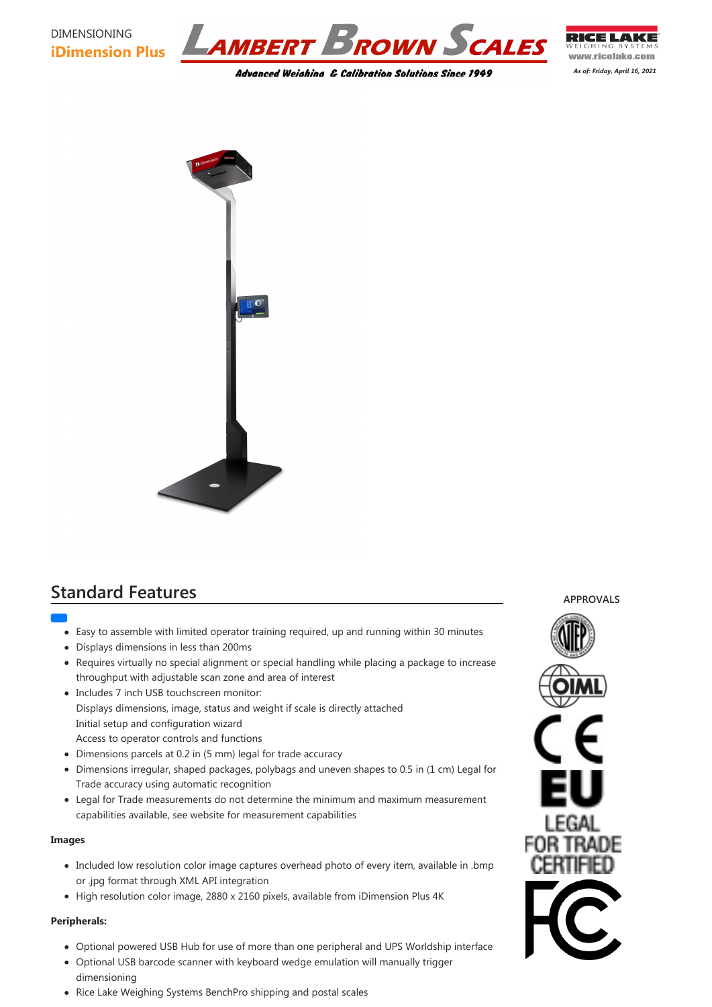

*As of: Friday, April 16, 2021*



# **Standard Features**

- - Easy to assemble with limited operator training required, up and running within 30 minutes
	- Displays dimensions in less than 200ms
	- Requires virtually no special alignment or special handling while placing a package to increase throughput with adjustable scan zone and area of interest
	- Includes 7 inch USB touchscreen monitor: Displays dimensions, image, status and weight if scale is directly attached Initial setup and configuration wizard Access to operator controls and functions
	- Dimensions parcels at 0.2 in (5 mm) legal for trade accuracy

- Optional powered USB Hub for use of more than one peripheral and UPS Worldship interface
- Optional USB barcode scanner with keyboard wedge emulation will manually trigger dimensioning
- Rice Lake Weighing Systems BenchPro shipping and postal scales



- Dimensions irregular, shaped packages, polybags and uneven shapes to 0.5 in (1 cm) Legal for Trade accuracy using automatic recognition
- Legal for Trade measurements do not determine the minimum and maximum measurement capabilities available, see website for measurement capabilities

#### **Images**

- Included low resolution color image captures overhead photo of every item, available in .bmp or .jpg format through XML API integration
- High resolution color image, 2880 x 2160 pixels, available from iDimension Plus 4K

#### **Peripherals:**

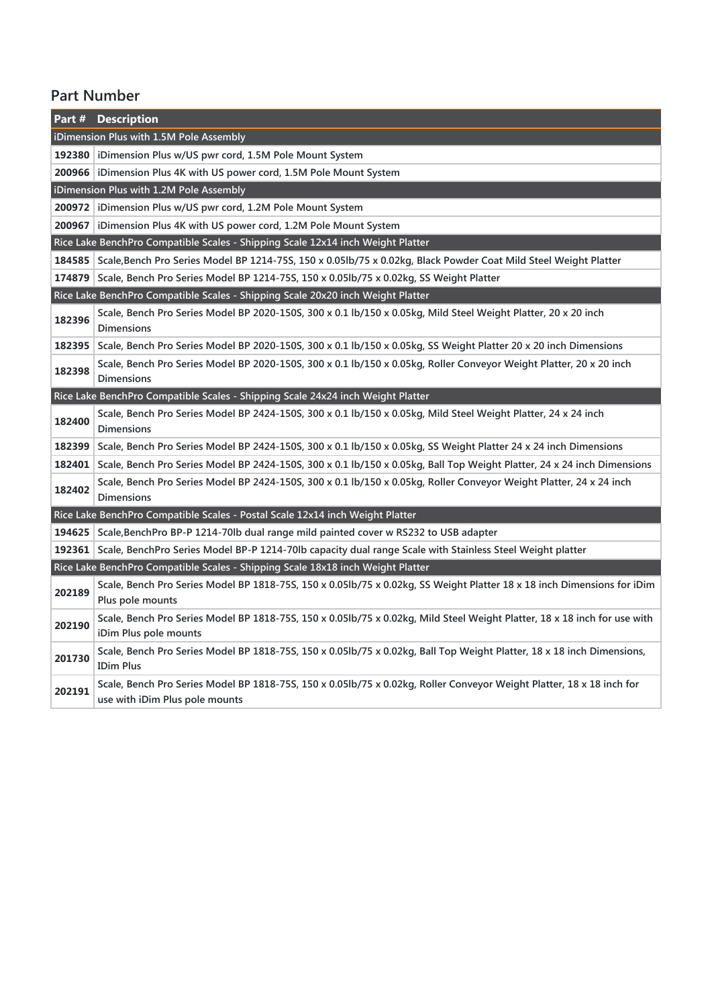### **Part Number**

| Part#                                                                           | <b>Description</b>                                                                                                                                      |  |
|---------------------------------------------------------------------------------|---------------------------------------------------------------------------------------------------------------------------------------------------------|--|
| iDimension Plus with 1.5M Pole Assembly                                         |                                                                                                                                                         |  |
|                                                                                 | 192380   iDimension Plus w/US pwr cord, 1.5M Pole Mount System                                                                                          |  |
|                                                                                 | 200966   iDimension Plus 4K with US power cord, 1.5M Pole Mount System                                                                                  |  |
| iDimension Plus with 1.2M Pole Assembly                                         |                                                                                                                                                         |  |
|                                                                                 | 200972   iDimension Plus w/US pwr cord, 1.2M Pole Mount System                                                                                          |  |
| 200967                                                                          | iDimension Plus 4K with US power cord, 1.2M Pole Mount System                                                                                           |  |
| Rice Lake BenchPro Compatible Scales - Shipping Scale 12x14 inch Weight Platter |                                                                                                                                                         |  |
|                                                                                 | 184585 Scale, Bench Pro Series Model BP 1214-75S, 150 x 0.05lb/75 x 0.02kg, Black Powder Coat Mild Steel Weight Platter                                 |  |
| 174879                                                                          | Scale, Bench Pro Series Model BP 1214-75S, 150 x 0.05lb/75 x 0.02kg, SS Weight Platter                                                                  |  |
| Rice Lake BenchPro Compatible Scales - Shipping Scale 20x20 inch Weight Platter |                                                                                                                                                         |  |
| 182396                                                                          | Scale, Bench Pro Series Model BP 2020-150S, 300 x 0.1 lb/150 x 0.05kg, Mild Steel Weight Platter, 20 x 20 inch<br><b>Dimensions</b>                     |  |
| 182395                                                                          | Scale, Bench Pro Series Model BP 2020-150S, 300 x 0.1 lb/150 x 0.05kg, SS Weight Platter 20 x 20 inch Dimensions                                        |  |
| 182398                                                                          | Scale, Bench Pro Series Model BP 2020-150S, 300 x 0.1 lb/150 x 0.05kg, Roller Conveyor Weight Platter, 20 x 20 inch<br><b>Dimensions</b>                |  |
| Rice Lake BenchPro Compatible Scales - Shipping Scale 24x24 inch Weight Platter |                                                                                                                                                         |  |
| 182400                                                                          | Scale, Bench Pro Series Model BP 2424-150S, 300 x 0.1 lb/150 x 0.05kg, Mild Steel Weight Platter, 24 x 24 inch<br><b>Dimensions</b>                     |  |
| 182399                                                                          | Scale, Bench Pro Series Model BP 2424-150S, 300 x 0.1 lb/150 x 0.05kg, SS Weight Platter 24 x 24 inch Dimensions                                        |  |
| 182401                                                                          | Scale, Bench Pro Series Model BP 2424-150S, 300 x 0.1 lb/150 x 0.05kg, Ball Top Weight Platter, 24 x 24 inch Dimensions                                 |  |
| 182402                                                                          | Scale, Bench Pro Series Model BP 2424-150S, 300 x 0.1 lb/150 x 0.05kg, Roller Conveyor Weight Platter, 24 x 24 inch<br><b>Dimensions</b>                |  |
| Rice Lake BenchPro Compatible Scales - Postal Scale 12x14 inch Weight Platter   |                                                                                                                                                         |  |
| 194625                                                                          | Scale, Bench Pro BP-P 1214-701b dual range mild painted cover w RS232 to USB adapter                                                                    |  |
| 192361                                                                          | Scale, BenchPro Series Model BP-P 1214-70lb capacity dual range Scale with Stainless Steel Weight platter                                               |  |
|                                                                                 | Rice Lake BenchPro Compatible Scales - Shipping Scale 18x18 inch Weight Platter                                                                         |  |
| 202189                                                                          | Scale, Bench Pro Series Model BP 1818-75S, 150 x 0.05lb/75 x 0.02kg, SS Weight Platter 18 x 18 inch Dimensions for iDim<br>Plus pole mounts             |  |
| 202190                                                                          | Scale, Bench Pro Series Model BP 1818-75S, 150 x 0.05lb/75 x 0.02kg, Mild Steel Weight Platter, 18 x 18 inch for use with<br>iDim Plus pole mounts      |  |
| 201730                                                                          | Scale, Bench Pro Series Model BP 1818-75S, 150 x 0.05lb/75 x 0.02kg, Ball Top Weight Platter, 18 x 18 inch Dimensions,<br><b>IDim Plus</b>              |  |
| 202191                                                                          | Scale, Bench Pro Series Model BP 1818-75S, 150 x 0.05lb/75 x 0.02kg, Roller Conveyor Weight Platter, 18 x 18 inch for<br>use with iDim Plus pole mounts |  |